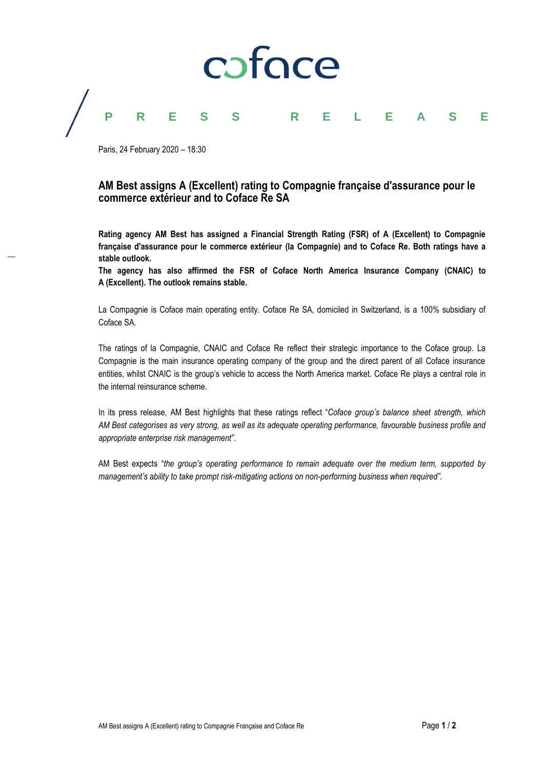

Paris, 24 February 2020 – 18:30

## **AM Best assigns A (Excellent) rating to Compagnie française d'assurance pour le commerce extérieur and to Coface Re SA**

**Rating agency AM Best has assigned a Financial Strength Rating (FSR) of A (Excellent) to Compagnie française d'assurance pour le commerce extérieur (la Compagnie) and to Coface Re. Both ratings have a stable outlook.**

**The agency has also affirmed the FSR of Coface North America Insurance Company (CNAIC) to A (Excellent). The outlook remains stable.**

La Compagnie is Coface main operating entity. Coface Re SA, domiciled in Switzerland, is a 100% subsidiary of Coface SA.

The ratings of la Compagnie, CNAIC and Coface Re reflect their strategic importance to the Coface group. La Compagnie is the main insurance operating company of the group and the direct parent of all Coface insurance entities, whilst CNAIC is the group's vehicle to access the North America market. Coface Re plays a central role in the internal reinsurance scheme.

In its press release, AM Best highlights that these ratings reflect "*Coface group's balance sheet strength, which AM Best categorises as very strong, as well as its adequate operating performance, favourable business profile and appropriate enterprise risk management"*.

AM Best expects "*the group's operating performance to remain adequate over the medium term, supported by management's ability to take prompt risk-mitigating actions on non-performing business when required".*